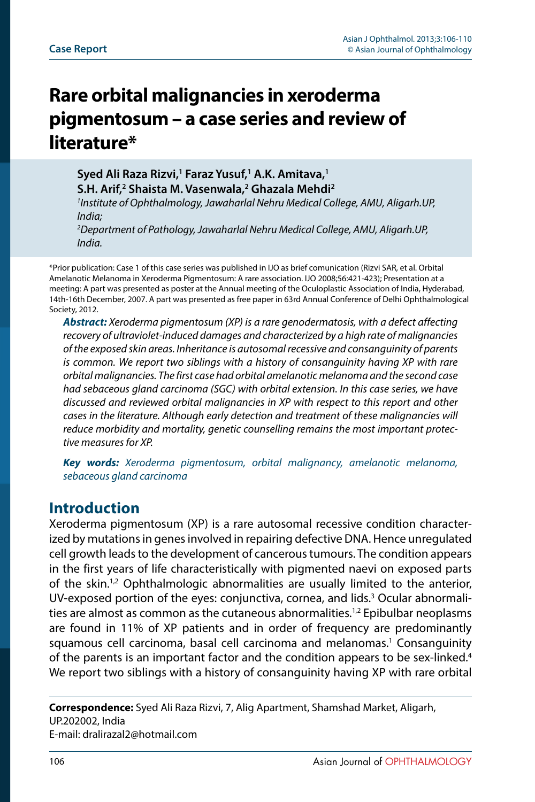# **Rare orbital malignancies in xeroderma pigmentosum – a case series and review of literature\***

**Syed Ali Raza Rizvi,1 Faraz Yusuf,1 A.K. Amitava,1 S.H. Arif,2 Shaista M. Vasenwala,2 Ghazala Mehdi2** *1 Institute of Ophthalmology, Jawaharlal Nehru Medical College, AMU, Aligarh.UP,* 

*India; 2 Department of Pathology, Jawaharlal Nehru Medical College, AMU, Aligarh.UP, India.*

\*Prior publication: Case 1 of this case series was published in IJO as brief comunication (Rizvi SAR, et al. Orbital Amelanotic Melanoma in Xeroderma Pigmentosum: A rare association. IJO 2008;56:421-423); Presentation at a meeting: A part was presented as poster at the Annual meeting of the Oculoplastic Association of India, Hyderabad, 14th-16th December, 2007. A part was presented as free paper in 63rd Annual Conference of Delhi Ophthalmological Society, 2012.

*Abstract: Xeroderma pigmentosum (XP) is a rare genodermatosis, with a defect affecting recovery of ultraviolet-induced damages and characterized by a high rate of malignancies of the exposed skin areas. Inheritance is autosomal recessive and consanguinity of parents is common. We report two siblings with a history of consanguinity having XP with rare orbital malignancies. The first case had orbital amelanotic melanoma and the second case had sebaceous gland carcinoma (SGC) with orbital extension. In this case series, we have discussed and reviewed orbital malignancies in XP with respect to this report and other cases in the literature. Although early detection and treatment of these malignancies will reduce morbidity and mortality, genetic counselling remains the most important protective measures for XP.*

*Key words: Xeroderma pigmentosum, orbital malignancy, amelanotic melanoma, sebaceous gland carcinoma*

## **Introduction**

Xeroderma pigmentosum (XP) is a rare autosomal recessive condition characterized by mutations in genes involved in repairing defective DNA. Hence unregulated cell growth leads to the development of cancerous tumours. The condition appears in the first years of life characteristically with pigmented naevi on exposed parts of the skin.<sup>[1,](#page-3-0)2</sup> Ophthalmologic abnormalities are usually limited to the anterior, UV-exposed portion of the eyes: conjunctiva, cornea, and lids.<sup>[3](#page-4-0)</sup> Ocular abnormali-ties are almost as common as the cutaneous abnormalities.<sup>1[,2](#page-3-1)</sup> Epibulbar neoplasms are found in 11% of XP patients and in order of frequency are predominantly squamous cell carcinoma, basal cell carcinoma and melanomas.<sup>[1](#page-3-0)</sup> Consanguinity of the parents is an important factor and the condition appears to be sex-linked.<sup>[4](#page-4-1)</sup> We report two siblings with a history of consanguinity having XP with rare orbital

**Correspondence:** Syed Ali Raza Rizvi, 7, Alig Apartment, Shamshad Market, Aligarh, UP.202002, India E-mail: dralirazal2@hotmail.com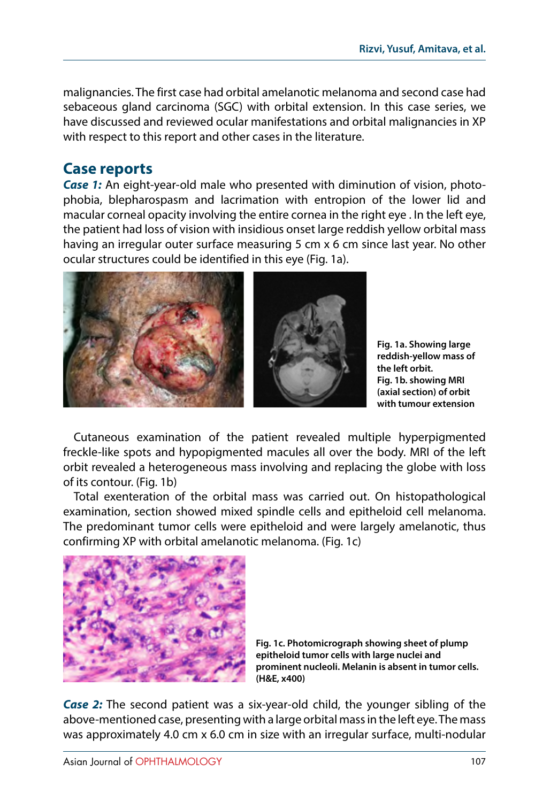malignancies. The first case had orbital amelanotic melanoma and second case had sebaceous gland carcinoma (SGC) with orbital extension. In this case series, we have discussed and reviewed ocular manifestations and orbital malignancies in XP with respect to this report and other cases in the literature.

# **Case reports**

*Case 1:* An eight-year-old male who presented with diminution of vision, photophobia, blepharospasm and lacrimation with entropion of the lower lid and macular corneal opacity involving the entire cornea in the right eye . In the left eye, the patient had loss of vision with insidious onset large reddish yellow orbital mass having an irregular outer surface measuring 5 cm x 6 cm since last year. No other ocular structures could be identified in this eye (Fig. 1a).



**Fig. 1a. Showing large reddish-yellow mass of the left orbit. Fig. 1b. showing MRI (axial section) of orbit with tumour extension**

Cutaneous examination of the patient revealed multiple hyperpigmented freckle-like spots and hypopigmented macules all over the body. MRI of the left orbit revealed a heterogeneous mass involving and replacing the globe with loss of its contour. (Fig. 1b)

Total exenteration of the orbital mass was carried out. On histopathological examination, section showed mixed spindle cells and epitheloid cell melanoma. The predominant tumor cells were epitheloid and were largely amelanotic, thus confirming XP with orbital amelanotic melanoma. (Fig. 1c)



**Fig. 1c. Photomicrograph showing sheet of plump epitheloid tumor cells with large nuclei and prominent nucleoli. Melanin is absent in tumor cells. (H&E, x400)**

*Case 2:* The second patient was a six-year-old child, the younger sibling of the above-mentioned case, presenting with a large orbital mass in the left eye. The mass was approximately 4.0 cm x 6.0 cm in size with an irregular surface, multi-nodular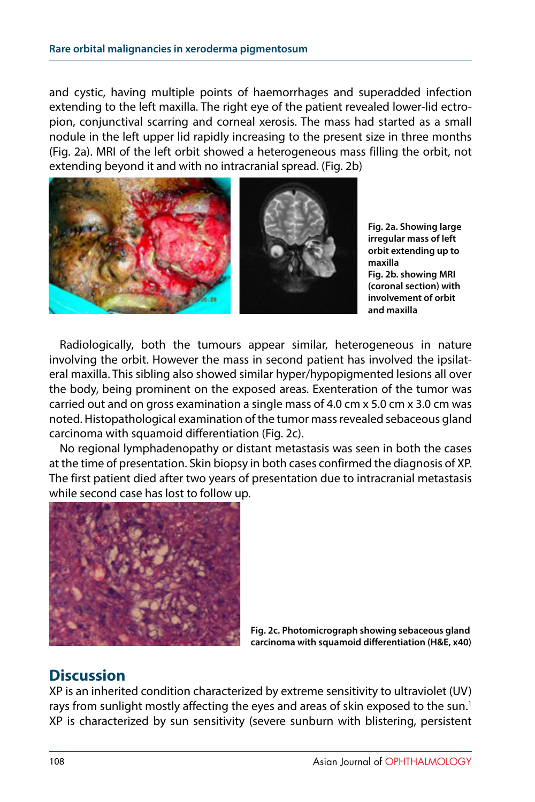and cystic, having multiple points of haemorrhages and superadded infection extending to the left maxilla. The right eye of the patient revealed lower-lid ectropion, conjunctival scarring and corneal xerosis. The mass had started as a small nodule in the left upper lid rapidly increasing to the present size in three months (Fig. 2a). MRI of the left orbit showed a heterogeneous mass filling the orbit, not extending beyond it and with no intracranial spread. (Fig. 2b)



**Fig. 2a. Showing large irregular mass of left orbit extending up to maxilla Fig. 2b. showing MRI (coronal section) with involvement of orbit and maxilla**

Radiologically, both the tumours appear similar, heterogeneous in nature involving the orbit. However the mass in second patient has involved the ipsilateral maxilla. This sibling also showed similar hyper/hypopigmented lesions all over the body, being prominent on the exposed areas. Exenteration of the tumor was carried out and on gross examination a single mass of 4.0 cm x 5.0 cm x 3.0 cm was noted. Histopathological examination of the tumor mass revealed sebaceous gland carcinoma with squamoid differentiation (Fig. 2c).

No regional lymphadenopathy or distant metastasis was seen in both the cases at the time of presentation. Skin biopsy in both cases confirmed the diagnosis of XP. The first patient died after two years of presentation due to intracranial metastasis while second case has lost to follow up.



**Fig. 2c. Photomicrograph showing sebaceous gland carcinoma with squamoid differentiation (H&E, x40)**

## **Discussion**

XP is an inherited condition characterized by extreme sensitivity to ultraviolet (UV) rays from sunlight mostly affecting the eyes and areas of skin exposed to the sun.<sup>[1](#page-3-0)</sup> XP is characterized by sun sensitivity (severe sunburn with blistering, persistent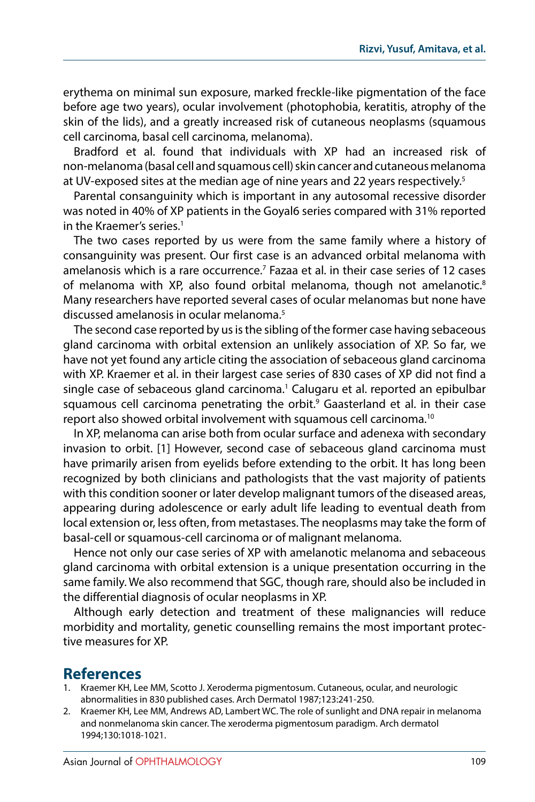erythema on minimal sun exposure, marked freckle-like pigmentation of the face before age two years), ocular involvement (photophobia, keratitis, atrophy of the skin of the lids), and a greatly increased risk of cutaneous neoplasms (squamous cell carcinoma, basal cell carcinoma, melanoma).

Bradford et al. found that individuals with XP had an increased risk of non-melanoma (basal cell and squamous cell) skin cancer and cutaneous melanoma at UV-exposed sites at the median age of nine years and 22 years respectively.<sup>[5](#page-4-2)</sup>

Parental consanguinity which is important in any autosomal recessive disorder was noted in 40% of XP patients in the Goyal6 series compared with 31% reported in the Kraemer's series.<sup>1</sup>

The two cases reported by us were from the same family where a history of consanguinity was present. Our first case is an advanced orbital melanoma with amelanosis which is a rare occurrence.[7](#page-4-3) Fazaa et al. in their case series of 12 cases of melanoma with XP, also found orbital melanoma, though not amelanotic.<sup>8</sup> Many researchers have reported several cases of ocular melanomas but none have discussed amelanosis in ocular melanoma[.5](#page-4-2)

The second case reported by us is the sibling of the former case having sebaceous gland carcinoma with orbital extension an unlikely association of XP. So far, we have not yet found any article citing the association of sebaceous gland carcinoma with XP. Kraemer et al. in their largest case series of 830 cases of XP did not find a single case of sebaceous gland carcinoma.<sup>[1](#page-3-0)</sup> Calugaru et al. reported an epibulbar squamous cell carcinoma penetrating the orbit.<sup>[9](#page-4-5)</sup> Gaasterland et al. in their case report also showed orbital involvement with squamous cell carcinoma.[10](#page-4-6)

In XP, melanoma can arise both from ocular surface and adenexa with secondary invasion to orbit. [1] However, second case of sebaceous gland carcinoma must have primarily arisen from eyelids before extending to the orbit. It has long been recognized by both clinicians and pathologists that the vast majority of patients with this condition sooner or later develop malignant tumors of the diseased areas, appearing during adolescence or early adult life leading to eventual death from local extension or, less often, from metastases. The neoplasms may take the form of basal-cell or squamous-cell carcinoma or of malignant melanoma.

Hence not only our case series of XP with amelanotic melanoma and sebaceous gland carcinoma with orbital extension is a unique presentation occurring in the same family. We also recommend that SGC, though rare, should also be included in the differential diagnosis of ocular neoplasms in XP.

Although early detection and treatment of these malignancies will reduce morbidity and mortality, genetic counselling remains the most important protective measures for XP.

#### **References**

- <span id="page-3-0"></span>1. Kraemer KH, Lee MM, Scotto J. Xeroderma pigmentosum. Cutaneous, ocular, and neurologic abnormalities in 830 published cases. Arch Dermatol 1987;123:241-250.
- <span id="page-3-1"></span>2. Kraemer KH, Lee MM, Andrews AD, Lambert WC. The role of sunlight and DNA repair in melanoma and nonmelanoma skin cancer. The xeroderma pigmentosum paradigm. Arch dermatol 1994;130:1018-1021.